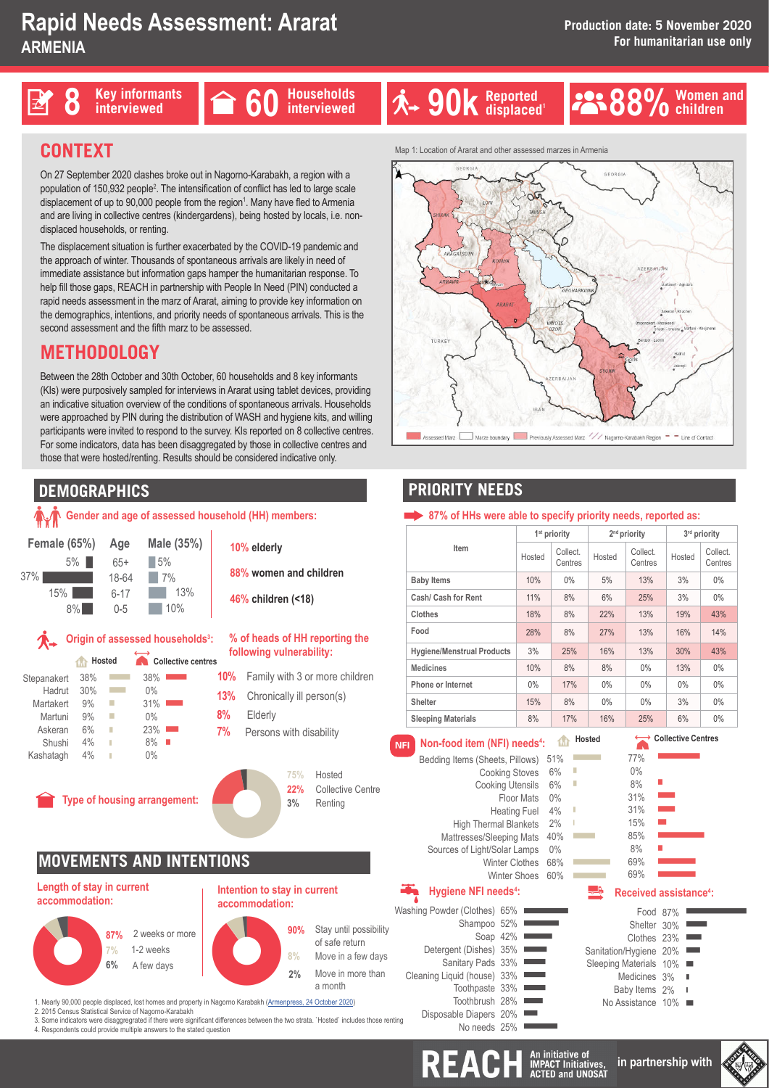





### **Women and C** Women<br>**C** children

# **CONTEXT**

On 27 September 2020 clashes broke out in Nagorno-Karabakh, a region with a population of 150,932 people<sup>2</sup>. The intensification of conflict has led to large scale displacement of up to 90,000 people from the region<sup>1</sup>. Many have fled to Armenia and are living in collective centres (kindergardens), being hosted by locals, i.e. nondisplaced households, or renting.

The displacement situation is further exacerbated by the COVID-19 pandemic and the approach of winter. Thousands of spontaneous arrivals are likely in need of immediate assistance but information gaps hamper the humanitarian response. To help fill those gaps, REACH in partnership with People In Need (PIN) conducted a rapid needs assessment in the marz of Ararat, aiming to provide key information on the demographics, intentions, and priority needs of spontaneous arrivals. This is the second assessment and the fifth marz to be assessed.

# **METHODOLOGY**

Between the 28th October and 30th October, 60 households and 8 key informants (KIs) were purposively sampled for interviews in Ararat using tablet devices, providing an indicative situation overview of the conditions of spontaneous arrivals. Households were approached by PIN during the distribution of WASH and hygiene kits, and willing participants were invited to respond to the survey. KIs reported on 8 collective centres. For some indicators, data has been disaggregated by those in collective centres and those that were hosted/renting. Results should be considered indicative only.

# **DEMOGRAPHICS**

#### **Gender and age of assessed household (HH) members: Origin of assessed households<sup>3</sup>: Type of housing arrangement: MOVEMENTS AND INTENTIONS 10% elderly 46% children (<18) 88% women and children Intention to stay in current : Length of stay in current accommodation:**  $\frac{75}{22}$ <br>3% **75%** Hosted **22%** Collective Centre **3%** Renting **10%** Family with 3 or more children **% of heads of HH reporting the following vulnerability: 13%** Chronically ill person(s) **8% 7%** Elderly Persons with disability  $\begin{array}{c}\n 87\% \\
 7\% \\
 6\% \\
 1\n\end{array}$ **87% 7% 6%** 2 weeks or more 1-2 weeks Process or more<br>
1-2 weeks<br>
A few days<br>
Protherma and annative Nearen Kenhalt (American **2% 90% 8%** Stay until possibility of safe return Move in a few days Move in more than a month **Hosted** 3<br>3<br>1 **Collective centres** 5<br>-<br>-38% 30% 9% 9% 6% 4%  $4%$ 38%  $\bigcap_{\alpha} 0$ 31%  $0%$ 23% 8%  $0%$ Stepanakert Hadrut Martakert Martuni Askeran Shushi Kashatagh **accommodation: Female (65%)** 65+ 18-64 6-17 0-5  $\begin{array}{|c|c|} \hline & 5\% \hline \ \hline \end{array}$ **Male (35%)**  $\frac{5\%}{7^9}$  $17%$ 13% | 10% 5% 37% 15% 8% **Age**

1. Nearly 90,000 people displaced, lost homes and property in Nagorno Karabakh (Armenpress, 24 October 2020) 2. 2015 Census Statistical Service of Nagorno-Karabakh

- 
- 3. Some indicators were disaggregrated if there were significant differences between the two strata. `Hosted` includes those renting<br>4. Respondents could provide multiple answers to the stated question

Map 1: Location of Ararat and other assessed marzes in Armenia



## **PRIORITY NEEDS**

#### 87% of HHs were able to specify priority needs, reported as:

| Item                              | 1 <sup>st</sup> priority |                     | $2nd$ priority |                     | 3 <sup>rd</sup> priority |                     |
|-----------------------------------|--------------------------|---------------------|----------------|---------------------|--------------------------|---------------------|
|                                   | Hosted                   | Collect.<br>Centres | Hosted         | Collect.<br>Centres | Hosted                   | Collect.<br>Centres |
| <b>Baby Items</b>                 | 10%                      | $0\%$               | 5%             | 13%                 | 3%                       | $0\%$               |
| Cash/ Cash for Rent               | 11%                      | 8%                  | 6%             | 25%                 | 3%                       | $0\%$               |
| Clothes                           | 18%                      | 8%                  | 22%            | 13%                 | 19%                      | 43%                 |
| Food                              | 28%                      | 8%                  | 27%            | 13%                 | 16%                      | 14%                 |
| <b>Hygiene/Menstrual Products</b> | 3%                       | 25%                 | 16%            | 13%                 | 30%                      | 43%                 |
| <b>Medicines</b>                  | 10%                      | 8%                  | 8%             | $0\%$               | 13%                      | $0\%$               |
| Phone or Internet                 | $0\%$                    | 17%                 | $0\%$          | $0\%$               | $0\%$                    | $0\%$               |
| Shelter                           | 15%                      | 8%                  | $0\%$          | $0\%$               | 3%                       | $0\%$               |
| <b>Sleeping Materials</b>         | 8%                       | 17%                 | 16%            | 25%                 | 6%                       | $0\%$               |

#### **Non-food item (NFI) needs4 :** ⛎**Hosted**

| <b>NFI</b> | Non-food item (NFI) needs <sup>4</sup> :                                                                                                                                                                            |                                                                                                                                       | 1ń                                                              | Hosted                |
|------------|---------------------------------------------------------------------------------------------------------------------------------------------------------------------------------------------------------------------|---------------------------------------------------------------------------------------------------------------------------------------|-----------------------------------------------------------------|-----------------------|
|            | Bedding Items (Sheets, Pillows)<br><b>High Thermal Blankets</b><br>Mattresses/Sleeping Mats<br>Sources of Light/Solar Lamps<br><b>Hygiene NFI needs<sup>4</sup>:</b>                                                | <b>Cooking Stoves</b><br><b>Cooking Utensils</b><br>Floor Mats<br><b>Heating Fuel</b><br><b>Winter Clothes</b><br><b>Winter Shoes</b> | 51%<br>6%<br>6%<br>$0\%$<br>4%<br>2%<br>40%<br>0%<br>68%<br>60% | I<br>Ī                |
| itina      | Washing Powder (Clothes) 65%<br>Shampoo 52%<br>Soap 42%<br>Detergent (Dishes) 35%<br>Sanitary Pads 33%<br>Cleaning Liquid (house) 33%<br>Toothpaste 33%<br>Toothbrush 28%<br>Disposable Diapers 20%<br>No needs 25% |                                                                                                                                       |                                                                 | Sanita<br>Sleepi<br>N |

## ←
Collective Centres

| 77% |                   |
|-----|-------------------|
| 0%  |                   |
| 8%  |                   |
| 31% |                   |
| 31% |                   |
| 15% |                   |
| 85% |                   |
| 8%  | <b>CONTRACTOR</b> |
| 69% |                   |
| 69% |                   |
|     |                   |

### **Received assistance4**

| Food 87%               |   |
|------------------------|---|
| Shelter 30%            |   |
| Clothes 23%            |   |
| Sanitation/Hygiene 20% |   |
| Sleeping Materials 10% | ٠ |
| Medicines 3%           |   |
| Baby Items 2%          | T |
| No Assistance 10%      |   |
|                        |   |

REACH An initiative of

**in partnership with**